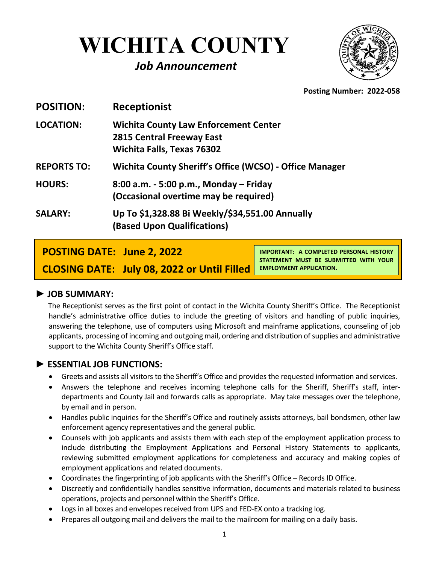# **WICHITA COUNTY**

## *Job Announcement*



**Posting Number: 2022-058**

| <b>Receptionist</b>                                                                                                   |
|-----------------------------------------------------------------------------------------------------------------------|
| <b>Wichita County Law Enforcement Center</b><br><b>2815 Central Freeway East</b><br><b>Wichita Falls, Texas 76302</b> |
| Wichita County Sheriff's Office (WCSO) - Office Manager                                                               |
| 8:00 a.m. - 5:00 p.m., Monday – Friday<br>(Occasional overtime may be required)                                       |
| Up To \$1,328.88 Bi Weekly/\$34,551.00 Annually<br>(Based Upon Qualifications)                                        |
|                                                                                                                       |

**POSTING DATE: June 2, 2022**

**CLOSING DATE: July 08, 2022 or Until Filled** 

**IMPORTANT: A COMPLETED PERSONAL HISTORY STATEMENT MUST BE SUBMITTED WITH YOUR EMPLOYMENT APPLICATION.**

#### ► **JOB SUMMARY:**

The Receptionist serves as the first point of contact in the Wichita County Sheriff's Office. The Receptionist handle's administrative office duties to include the greeting of visitors and handling of public inquiries, answering the telephone, use of computers using Microsoft and mainframe applications, counseling of job applicants, processing of incoming and outgoing mail, ordering and distribution of supplies and administrative support to the Wichita County Sheriff's Office staff.

#### **► ESSENTIAL JOB FUNCTIONS:**

- Greets and assists all visitors to the Sheriff's Office and provides the requested information and services.
- Answers the telephone and receives incoming telephone calls for the Sheriff, Sheriff's staff, interdepartments and County Jail and forwards calls as appropriate. May take messages over the telephone, by email and in person.
- Handles public inquiries for the Sheriff's Office and routinely assists attorneys, bail bondsmen, other law enforcement agency representatives and the general public.
- Counsels with job applicants and assists them with each step of the employment application process to include distributing the Employment Applications and Personal History Statements to applicants, reviewing submitted employment applications for completeness and accuracy and making copies of employment applications and related documents.
- Coordinates the fingerprinting of job applicants with the Sheriff's Office Records ID Office.
- Discreetly and confidentially handles sensitive information, documents and materials related to business operations, projects and personnel within the Sheriff's Office.
- Logs in all boxes and envelopes received from UPS and FED-EX onto a tracking log.
- Prepares all outgoing mail and delivers the mail to the mailroom for mailing on a daily basis.